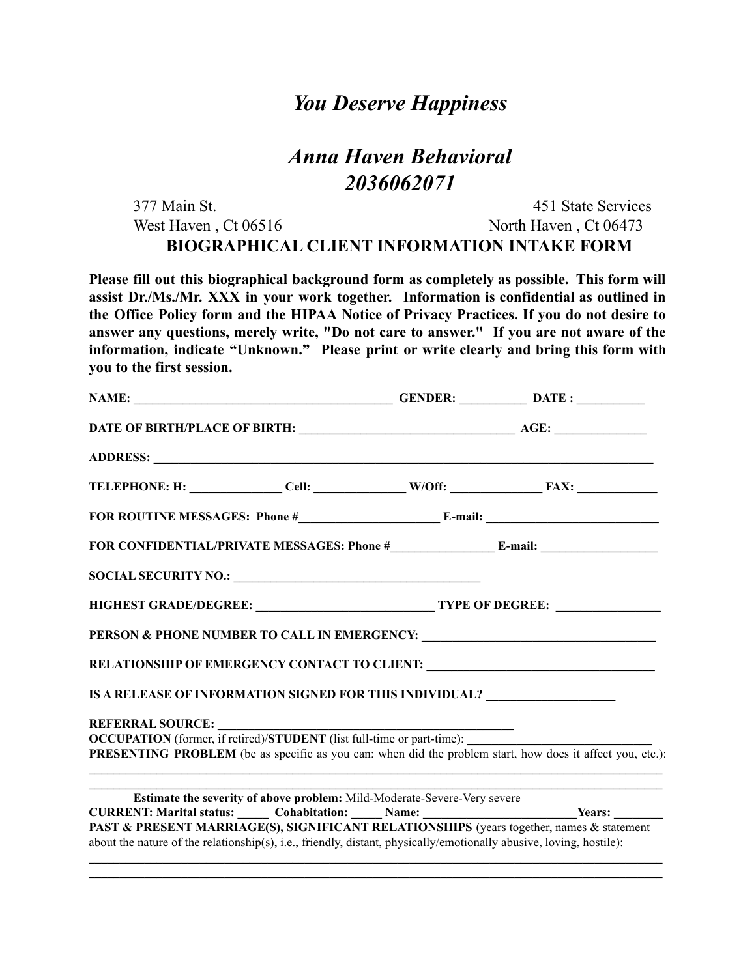## *You Deserve Happiness*

# *Anna Haven Behavioral 2036062071*

| 377 Main St.                                       | 451 State Services    |  |
|----------------------------------------------------|-----------------------|--|
| West Haven, $Ct 06516$                             | North Haven, Ct 06473 |  |
| <b>BIOGRAPHICAL CLIENT INFORMATION INTAKE FORM</b> |                       |  |

**Please fill out this biographical background form as completely as possible. This form will assist Dr./Ms./Mr. XXX in your work together. Information is confidential as outlined in the Office Policy form and the HIPAA Notice of Privacy Practices. If you do not desire to answer any questions, merely write, "Do not care to answer." If you are not aware of the information, indicate "Unknown." Please print or write clearly and bring this form with you to the first session.**

| RELATIONSHIP OF EMERGENCY CONTACT TO CLIENT: ___________________________________                                                                                                                                |  |
|-----------------------------------------------------------------------------------------------------------------------------------------------------------------------------------------------------------------|--|
| IS A RELEASE OF INFORMATION SIGNED FOR THIS INDIVIDUAL? ________________________                                                                                                                                |  |
|                                                                                                                                                                                                                 |  |
|                                                                                                                                                                                                                 |  |
| PRESENTING PROBLEM (be as specific as you can: when did the problem start, how does it affect you, etc.):                                                                                                       |  |
| Estimate the severity of above problem: Mild-Moderate-Severe-Very severe                                                                                                                                        |  |
| CURRENT: Marital status: Cohabitation: Name: Name: Years: Nears:                                                                                                                                                |  |
| PAST & PRESENT MARRIAGE(S), SIGNIFICANT RELATIONSHIPS (years together, names & statement<br>about the nature of the relationship(s), i.e., friendly, distant, physically/emotionally abusive, loving, hostile): |  |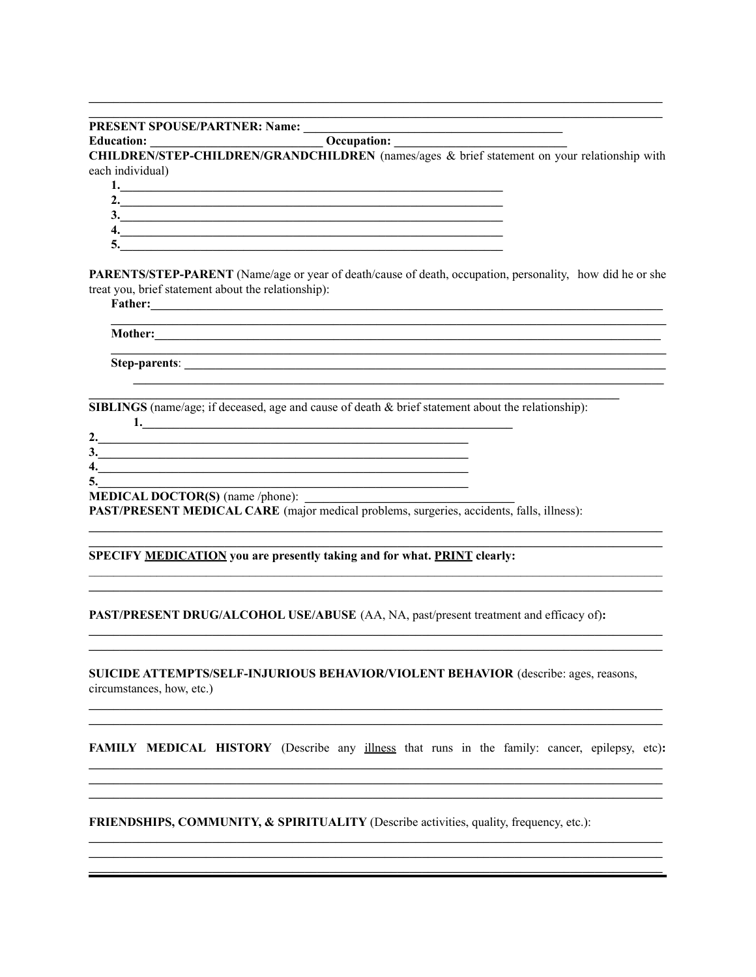#### **PRESENT SPOUSE/PARTNER: Name:**

**Education:** Occupation:

CHILDREN/STEP-CHILDREN/GRANDCHILDREN (names/ages & brief statement on your relationship with each individual)

| ມ |  |
|---|--|
|   |  |
|   |  |

PARENTS/STEP-PARENT (Name/age or year of death/cause of death, occupation, personality, how did he or she treat you, brief statement about the relationship):

and the control of the control of the control of the control of the control of the control of the control of the

<u> 1980 - Johann Barn, fransk politik (f. 1980)</u>

**SIBLINGS** (name/age; if deceased, age and cause of death & brief statement about the relationship):

| ٠.                                      |  |
|-----------------------------------------|--|
| Ĵ.                                      |  |
| 4.                                      |  |
| 5.                                      |  |
| <b>MEDICAL DOCTOR(S)</b> (name /phone): |  |

**PAST/PRESENT MEDICAL CARE** (major medical problems, surgeries, accidents, falls, illness):

### SPECIFY MEDICATION you are presently taking and for what. PRINT clearly:

PAST/PRESENT DRUG/ALCOHOL USE/ABUSE (AA, NA, past/present treatment and efficacy of):

SUICIDE ATTEMPTS/SELF-INJURIOUS BEHAVIOR/VIOLENT BEHAVIOR (describe: ages, reasons, circumstances, how, etc.)

**FAMILY MEDICAL HISTORY** (Describe any illness that runs in the family: cancer, epilepsy, etc):

**FRIENDSHIPS, COMMUNITY, & SPIRITUALITY** (Describe activities, quality, frequency, etc.):